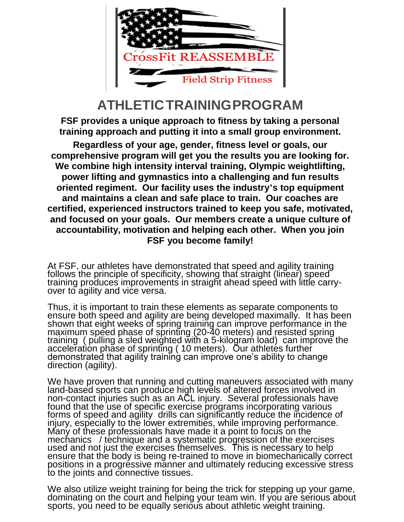

### **ATHLETICTRAININGPROGRAM**

**FSF provides a unique approach to fitness by taking a personal training approach and putting it into a small group environment.**

**Regardless of your age, gender, fitness level or goals, our comprehensive program will get you the results you are looking for. We combine high intensity interval training, Olympic weightlifting, power lifting and gymnastics into a challenging and fun results oriented regiment. Our facility uses the industry's top equipment and maintains a clean and safe place to train. Our coaches are certified, experienced instructors trained to keep you safe, motivated, and focused on your goals. Our members create a unique culture of accountability, motivation and helping each other. When you join FSF you become family!**

At FSF, our athletes have demonstrated that speed and agility training follows the principle of specificity, showing that straight (linear) speed training produces improvements in straight ahead speed with little carryover to agility and vice versa.

Thus, it is important to train these elements as separate components to ensure both speed and agility are being developed maximally. It has been shown that eight weeks of spring training can improve performance in the maximum speed phase of sprinting (20-40 meters) and resisted spring training ( pulling a sled weighted with a 5-kilogram load) can improve the acceler̃ation phãse of sprintĭng ( 10 meters). Our athletes further demonstrated that agility training can improve one's ability to change direction (agility).

We have proven that running and cutting maneuvers associated with many land-based sports can produce high levels of altered forces involved in non-contact injuries such as an ACL injury. Several professionals have found that the use of specific exercise programs incorporating various forms of speed and agility drills can significantly reduce the incidence of injury, especially to the lower extremities, while improving performance. Many of these professionals have made it a point to focus on the mechanics / technique and a systematic progression of the exercises used and not just the exercises themselves. This is necessary to help ensure that the body is being re-trained to move in biomechanically correct positions in a progressive manner and ultimately reducing excessive stress to the joints and connective tissues.

We also utilize weight training for being the trick for stepping up your game, dominating on the court and helping your team win. If you are serious about sports, you need to be equally serious about athletic weight training.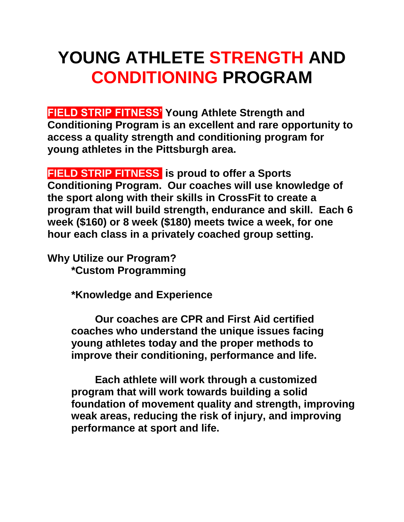## **YOUNG ATHLETE STRENGTH AND CONDITIONING PROGRAM**

**FIELD STRIP FITNESS' Young Athlete Strength and Conditioning Program is an excellent and rare opportunity to access a quality strength and conditioning program for young athletes in the Pittsburgh area.** 

**FIELD STRIP FITNESS is proud to offer a Sports Conditioning Program. Our coaches will use knowledge of the sport along with their skills in CrossFit to create a program that will build strength, endurance and skill. Each 6 week (\$160) or 8 week (\$180) meets twice a week, for one hour each class in a privately coached group setting.**

**Why Utilize our Program? \*Custom Programming**

**\*Knowledge and Experience**

**Our coaches are CPR and First Aid certified coaches who understand the unique issues facing young athletes today and the proper methods to improve their conditioning, performance and life.** 

**Each athlete will work through a customized program that will work towards building a solid foundation of movement quality and strength, improving weak areas, reducing the risk of injury, and improving performance at sport and life.**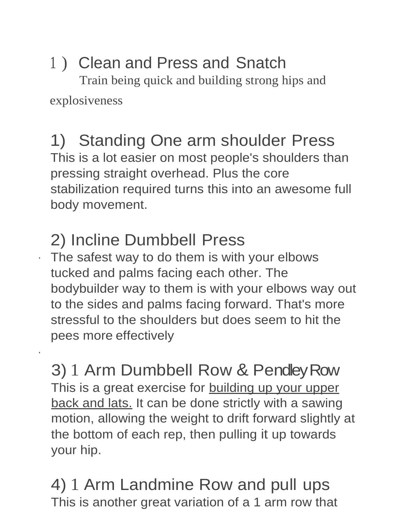# 1 ) Clean and Press and Snatch

 Train being quick and building strong hips and explosiveness

### 1) Standing One arm shoulder Press This is a lot easier on most people's shoulders than pressing straight overhead. Plus the core stabilization required turns this into an awesome full body movement.

## 2) Incline Dumbbell Press

·

· The safest way to do them is with your elbows tucked and palms facing each other. The bodybuilder way to them is with your elbows way out to the sides and palms facing forward. That's more stressful to the shoulders but does seem to hit the pees more effectively

3) 1 Arm Dumbbell Row & Pendley Row This is a great exercise for **building up your upper** back and lats. It can be done strictly with a sawing motion, allowing the weight to drift forward slightly at the bottom of each rep, then pulling it up towards your hip.

## 4) 1 Arm Landmine Row and pull ups This is another great variation of a 1 arm row that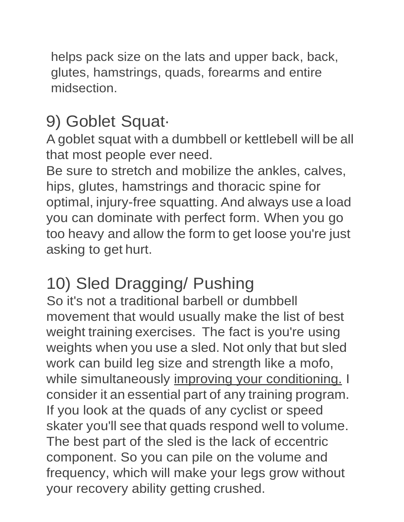helps pack size on the lats and upper back, back, glutes, hamstrings, quads, forearms and entire midsection.

## 9) Goblet Squat·

A goblet squat with a dumbbell or kettlebell will be all that most people ever need.

Be sure to stretch and mobilize the ankles, calves, hips, glutes, hamstrings and thoracic spine for optimal, injury-free squatting. And always use a load you can dominate with perfect form. When you go too heavy and allow the form to get loose you're just asking to get hurt.

## 10) Sled Dragging/ Pushing

So it's not a traditional barbell or dumbbell movement that would usually make the list of best weight training exercises. The fact is you're using weights when you use a sled. Not only that but sled work can build leg size and strength like a mofo, while simultaneously improving your conditioning. I consider it an essential part of any training program. If you look at the quads of any cyclist or speed skater you'll see that quads respond well to volume. The best part of the sled is the lack of eccentric component. So you can pile on the volume and frequency, which will make your legs grow without your recovery ability getting crushed.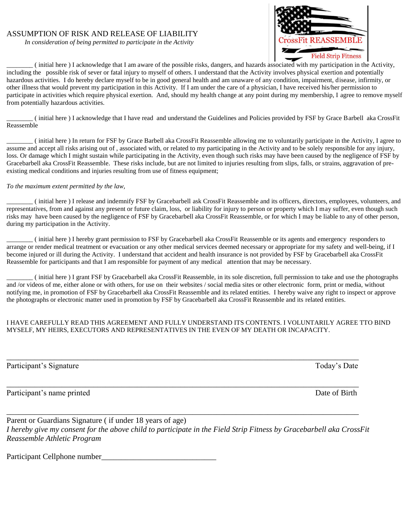### ASSUMPTION OF RISK AND RELEASE OF LIABILITY

 *In consideration of being permitted to participate in the Activity*



\_\_\_\_\_\_\_\_ ( initial here ) I acknowledge that I am aware of the possible risks, dangers, and hazards associated with my participation in the Activity, including the possible risk of sever or fatal injury to myself of others. I understand that the Activity involves physical exertion and potentially hazardous activities. I do hereby declare myself to be in good general health and am unaware of any condition, impairment, disease, infirmity, or other illness that would prevent my participation in this Activity. If I am under the care of a physician, I have received his/her permission to participate in activities which require physical exertion. And, should my health change at any point during my membership, I agree to remove myself from potentially hazardous activities.

\_\_\_\_\_\_\_\_ ( initial here ) I acknowledge that I have read and understand the Guidelines and Policies provided by FSF by Grace Barbell aka CrossFit Reassemble

\_\_\_\_\_\_\_\_ ( initial here ) In return for FSF by Grace Barbell aka CrossFit Reassemble allowing me to voluntarily participate in the Activity, I agree to assume and accept all risks arising out of , associated with, or related to my participating in the Activity and to be solely responsible for any injury, loss. Or damage which I might sustain while participating in the Activity, even though such risks may have been caused by the negligence of FSF by Gracebarbell aka CrossFit Reassemble. These risks include, but are not limited to injuries resulting from slips, falls, or strains, aggravation of preexisting medical conditions and injuries resulting from use of fitness equipment;

#### *To the maximum extent permitted by the law,*

\_\_\_\_\_\_\_\_ ( initial here ) I release and indemnify FSF by Gracebarbell ask CrossFit Reassemble and its officers, directors, employees, volunteers, and representatives, from and against any present or future claim, loss, or liability for injury to person or property which I may suffer, even though such risks may have been caused by the negligence of FSF by Gracebarbell aka CrossFit Reassemble, or for which I may be liable to any of other person, during my participation in the Activity.

\_\_\_\_\_\_\_\_ ( initial here ) I hereby grant permission to FSF by Gracebarbell aka CrossFit Reassemble or its agents and emergency responders to arrange or render medical treatment or evacuation or any other medical services deemed necessary or appropriate for my safety and well-being, if I become injured or ill during the Activity. I understand that accident and health insurance is not provided by FSF by Gracebarbell aka CrossFit Reassemble for participants and that I am responsible for payment of any medical attention that may be necessary.

\_\_\_\_\_\_\_\_ ( initial here ) I grant FSF by Gracebarbell aka CrossFit Reassemble, in its sole discretion, full permission to take and use the photographs and /or videos of me, either alone or with others, for use on their websites / social media sites or other electronic form, print or media, without notifying me, in promotion of FSF by Gracebarbell aka CrossFit Reassemble and its related entities. I hereby waive any right to inspect or approve the photographs or electronic matter used in promotion by FSF by Gracebarbell aka CrossFit Reassemble and its related entities.

### I HAVE CAREFULLY READ THIS AGREEMENT AND FULLY UNDERSTAND ITS CONTENTS. I VOLUNTARILY AGREE TTO BIND MYSELF, MY HEIRS, EXECUTORS AND REPRESENTATIVES IN THE EVEN OF MY DEATH OR INCAPACITY.

Participant's Signature Today's Date

Participant's name printed Date of Birth

Parent or Guardians Signature ( if under 18 years of age) *I hereby give my consent for the above child to participate in the Field Strip Fitness by Gracebarbell aka CrossFit Reassemble Athletic Program*

\_\_\_\_\_\_\_\_\_\_\_\_\_\_\_\_\_\_\_\_\_\_\_\_\_\_\_\_\_\_\_\_\_\_\_\_\_\_\_\_\_\_\_\_\_\_\_\_\_\_\_\_\_\_\_\_\_\_\_\_\_\_\_\_\_\_\_\_\_\_\_\_\_\_\_\_\_\_\_\_\_\_\_\_\_\_\_\_\_

\_\_\_\_\_\_\_\_\_\_\_\_\_\_\_\_\_\_\_\_\_\_\_\_\_\_\_\_\_\_\_\_\_\_\_\_\_\_\_\_\_\_\_\_\_\_\_\_\_\_\_\_\_\_\_\_\_\_\_\_\_\_\_\_\_\_\_\_\_\_\_\_\_\_\_\_\_\_\_\_\_\_\_\_\_\_\_\_\_

\_\_\_\_\_\_\_\_\_\_\_\_\_\_\_\_\_\_\_\_\_\_\_\_\_\_\_\_\_\_\_\_\_\_\_\_\_\_\_\_\_\_\_\_\_\_\_\_\_\_\_\_\_\_\_\_\_\_\_\_\_\_\_\_\_\_\_\_\_\_\_\_\_\_\_\_\_\_\_\_\_\_\_\_\_\_\_\_\_

Participant Cellphone number\_\_\_\_\_\_\_\_\_\_\_\_\_\_\_\_\_\_\_\_\_\_\_\_\_\_\_\_\_